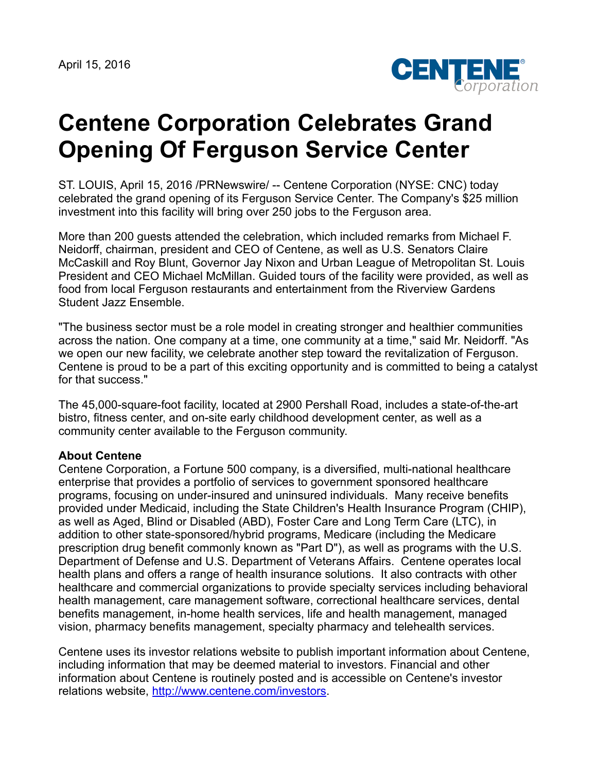April 15, 2016



## **Centene Corporation Celebrates Grand Opening Of Ferguson Service Center**

ST. LOUIS, April 15, 2016 /PRNewswire/ -- Centene Corporation (NYSE: CNC) today celebrated the grand opening of its Ferguson Service Center. The Company's \$25 million investment into this facility will bring over 250 jobs to the Ferguson area.

More than 200 guests attended the celebration, which included remarks from Michael F. Neidorff, chairman, president and CEO of Centene, as well as U.S. Senators Claire McCaskill and Roy Blunt, Governor Jay Nixon and Urban League of Metropolitan St. Louis President and CEO Michael McMillan. Guided tours of the facility were provided, as well as food from local Ferguson restaurants and entertainment from the Riverview Gardens Student Jazz Ensemble.

"The business sector must be a role model in creating stronger and healthier communities across the nation. One company at a time, one community at a time," said Mr. Neidorff. "As we open our new facility, we celebrate another step toward the revitalization of Ferguson. Centene is proud to be a part of this exciting opportunity and is committed to being a catalyst for that success."

The 45,000-square-foot facility, located at 2900 Pershall Road, includes a state-of-the-art bistro, fitness center, and on-site early childhood development center, as well as a community center available to the Ferguson community.

## **About Centene**

Centene Corporation, a Fortune 500 company, is a diversified, multi-national healthcare enterprise that provides a portfolio of services to government sponsored healthcare programs, focusing on under-insured and uninsured individuals. Many receive benefits provided under Medicaid, including the State Children's Health Insurance Program (CHIP), as well as Aged, Blind or Disabled (ABD), Foster Care and Long Term Care (LTC), in addition to other state-sponsored/hybrid programs, Medicare (including the Medicare prescription drug benefit commonly known as "Part D"), as well as programs with the U.S. Department of Defense and U.S. Department of Veterans Affairs. Centene operates local health plans and offers a range of health insurance solutions. It also contracts with other healthcare and commercial organizations to provide specialty services including behavioral health management, care management software, correctional healthcare services, dental benefits management, in-home health services, life and health management, managed vision, pharmacy benefits management, specialty pharmacy and telehealth services.

Centene uses its investor relations website to publish important information about Centene, including information that may be deemed material to investors. Financial and other information about Centene is routinely posted and is accessible on Centene's investor relations website, <http://www.centene.com/investors>.